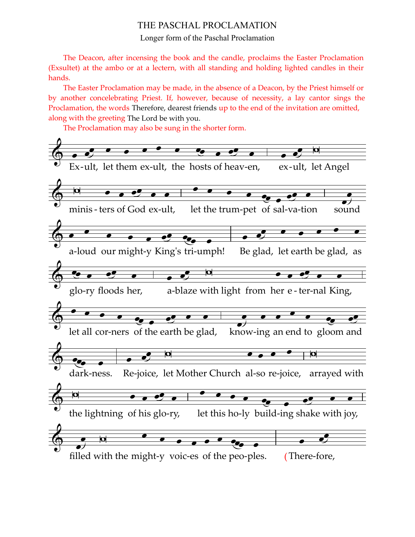## THE PASCHAL PROCLAMATION

## Longer form of the Paschal Proclamation

The Deacon, after incensing the book and the candle, proclaims the Easter Proclamation (Exsultet) at the ambo or at a lectern, with all standing and holding lighted candles in their hands.

The Easter Proclamation may be made, in the absence of a Deacon, by the Priest himself or by another concelebrating Priest. If, however, because of necessity, a lay cantor sings the Proclamation, the words Therefore, dearest friends up to the end of the invitation are omitted, along with the greeting The Lord be with you.

The Proclamation may also be sung in the shorter form.

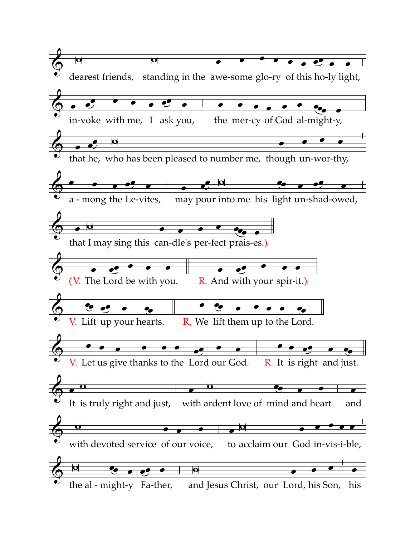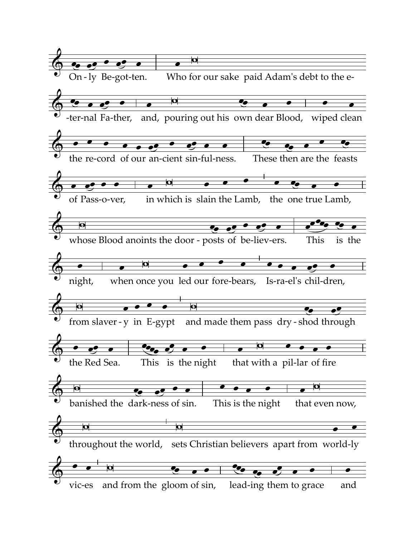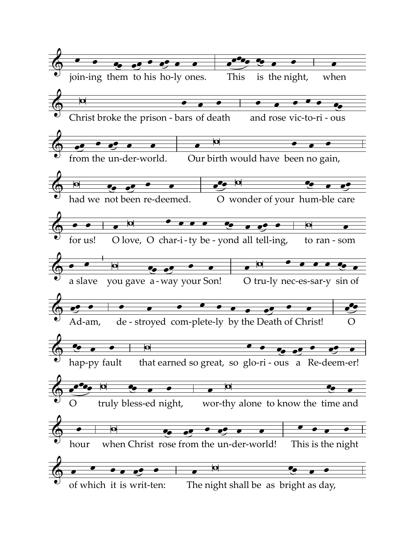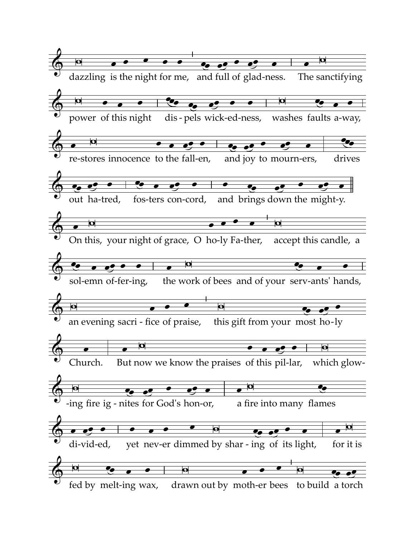